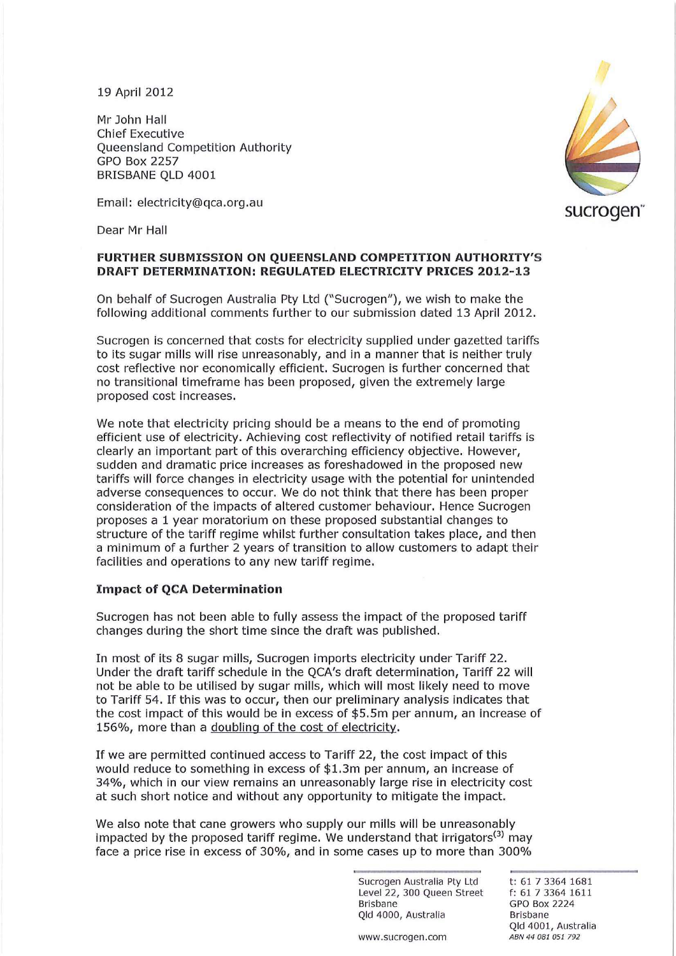19 April 2012

Mr John Hall Chief Executive Queensland Competition Authority GPO Box 2257 BRISBANE QLD 4001

Email: electricity@qca.org.au

Dear Mr Hall

# **sucrogen"**

# **FURTHER SUBMISSION ON QUEENSLAND COMPETITION AUTHORITY'S DRAFT DETERMINATION: REGULATED ELECTRICITY PRICES 2012-13**

On behalf of Sucrogen Australia Pty Ltd ("Sucrogen"), we wish to make the following additional comments further to our submission dated 13 April 2012.

Sucrogen is concerned that costs for electricity supplied under gazetted tariffs to its sugar mills will rise unreasonably, and in a manner that is neither truly cost reflective nor economically efficient. Sucrogen is further concerned that no transitional timeframe has been proposed, given the extremely large proposed cost increases.

We note that electricity pricing should be a means to the end of promoting efficient use of electricity. Achieving cost reflectivity of notified retail tariffs is clearly an important part of this overarching efficiency objective. However, sudden and dramatic price increases as foreshadowed in the proposed new tariffs will force changes in electricity usage with the potential for unintended adverse consequences to occur. We do not think that there has been proper consideration of the impacts of altered customer behaviour. Hence Sucrogen proposes a 1 year moratorium on these proposed substantial changes to structure of the tariff regime whilst further consultation takes place, and then a minimum of a further 2 years of transition to allow customers to adapt their facilities and operations to any new tariff regime.

# **Impact of QCA Determination**

Sucrogen has not been able to fully assess the impact of the proposed tariff changes during the short time since the draft was published.

In most of its 8 sugar mills, Sucrogen imports electricity under Tariff 22. Under the draft tariff schedule in the QCA's draft determination, Tariff 22 will not be able to be utilised by sugar mills, which will most likely need to move to Tariff 54. If this was to occur, then our preliminary analysis indicates that the cost impact of this would be in excess of \$5.5m per annum, an increase of 156%, more than a doubling of the cost of electricity.

If we are permitted continued access to Tariff 22, the cost impact of this would reduce to something in excess of \$1.3m per annum, an increase of 34%, which in our view remains an unreasonably large rise in electricity cost at such short notice and without any opportunity to mitigate the impact.

We also note that cane growers who supply our mills will be unreasonably impacted by the proposed tariff regime. We understand that irrigators<sup>(3)</sup> may face a price rise in excess of 30%, and in some cases up to more than 300%

> Sucrogen Australia Pty Ltd Level 22, 300 Queen Street **Brisbane**  Qld 4000, Australia

t: 61 73364 1681 f: 61 7 3364 1611 GPO Box 2224 **Bri sbane**  Old 4001, Australia **ABN 4 4 081 051 792** 

**WW W.5ucrogen.com**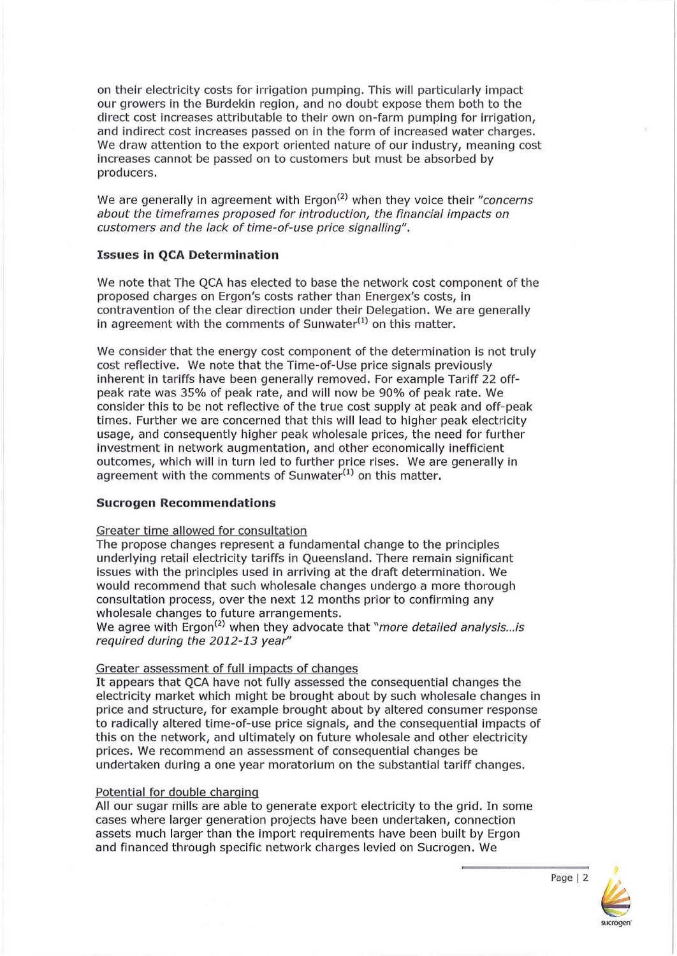on their electricity costs for irrigation pumping. This will particularly impact our growers in the Burdekin region, and no doubt expose them both to the direct cost increases attributable to their own on-farm pumping for irrigation, and indirect cost increases passed on in the form of increased water charges. We draw attention to the export oriented nature of our industry, meaning cost increases cannot be passed on to customers but must be absorbed by producers.

We are generally in agreement with Ergon<sup> $(2)$ </sup> when they voice their "concerns" about the timeframes proposed for introduction, the financial impacts on customers and the lack of time-of-use price signalling".

## **Issues in QCA Determination**

We note that The QCA has elected to base the network cost component of the proposed charges on Ergon's costs rather than Energex's costs, in contravention of the clear direction under their Delegation. We are generally in agreement with the comments of Sunwater $(1)$  on this matter.

We consider that the energy cost component of the determination is not truly cost reflective. We note that the Time-of-Use price signals previously inherent in tariffs have been generally removed. For example Tariff 22 offpeak rate was 35% of peak rate, and will now be 90% of peak rate. We consider this to be not reflective of the true cost supply at peak and off-peak times. Further we are concerned that this will lead to higher peak electricity usage, and consequently higher peak wholesale prices, the need for further Investment in network augmentation, and other economically inefficient outcomes, which will in turn led to further price rises. We are generally in agreement with the comments of Sunwater $(1)$  on this matter.

### **Sucrogen Recommendations**

### Greater time allowed for consultation

The propose changes represent a fundamental change to the principles underlying retail electricity tariffs in Queensland. There remain significant issues with the principles used in arriving at the draft determination. We would recommend that such wholesale changes undergo a more thorough consultation process, over the next 12 months prior to confirming any wholesale changes to future arrangements.

We agree with Ergon<sup>(2)</sup> when they advocate that "more detailed analysis... is required during the 2012-13 year"

### Greater assessment of full impacts of changes

It appears that QCA have not fully assessed the consequential changes the electricity market which might be brought about by such wholesale changes in price and structure, for example brought about by altered consumer response to radically altered time-of-use price signals, and the consequential impacts of this on the network, and ultimately on future wholesale and other electricity prices. We recommend an assessment of consequential changes be undertaken during a one year moratorium on the substantial tariff changes.

### Potential for double charging

All our sugar mills are able to generate export electricity to the grid. In some cases where larger generation projects have been undertaken, connection assets much larger than the import requirements have been built by Ergon and financed through specific network charges levied on Sucrogen. We